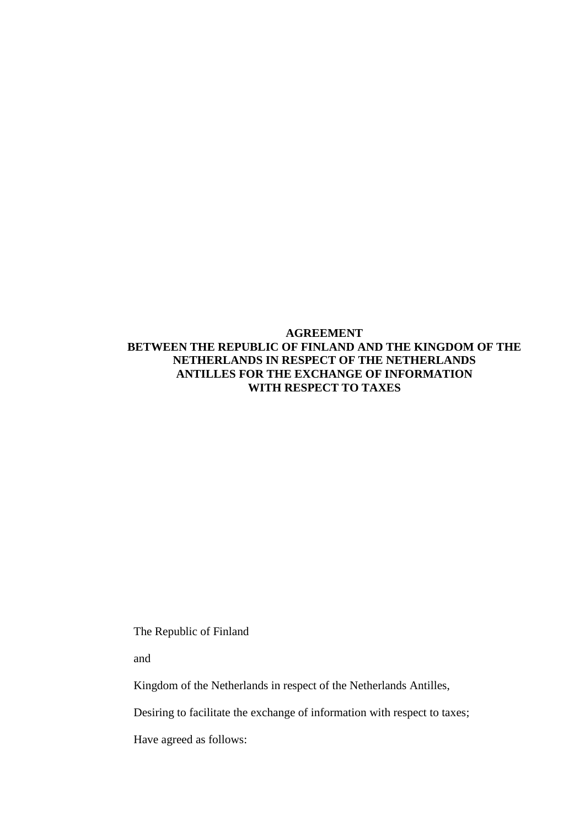# **AGREEMENT BETWEEN THE REPUBLIC OF FINLAND AND THE KINGDOM OF THE NETHERLANDS IN RESPECT OF THE NETHERLANDS ANTILLES FOR THE EXCHANGE OF INFORMATION WITH RESPECT TO TAXES**

The Republic of Finland

and

Kingdom of the Netherlands in respect of the Netherlands Antilles,

Desiring to facilitate the exchange of information with respect to taxes;

Have agreed as follows: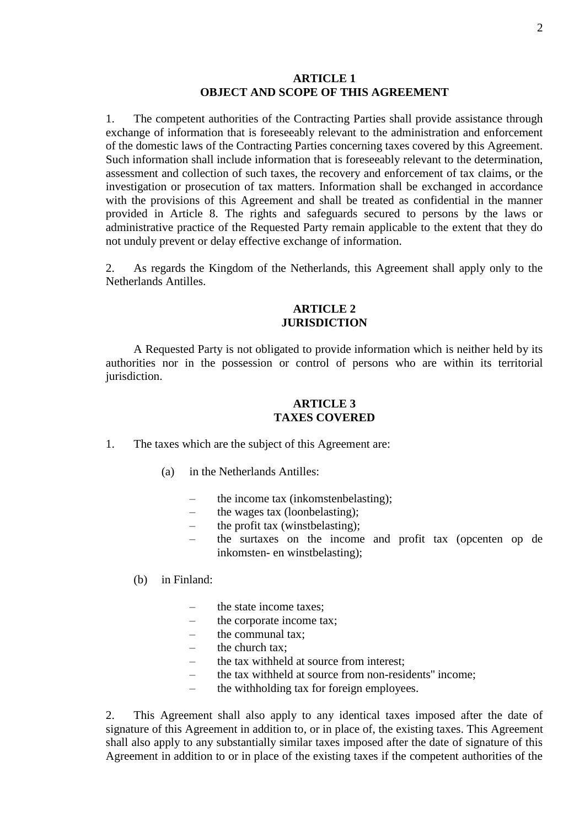#### **ARTICLE 1 OBJECT AND SCOPE OF THIS AGREEMENT**

1. The competent authorities of the Contracting Parties shall provide assistance through exchange of information that is foreseeably relevant to the administration and enforcement of the domestic laws of the Contracting Parties concerning taxes covered by this Agreement. Such information shall include information that is foreseeably relevant to the determination, assessment and collection of such taxes, the recovery and enforcement of tax claims, or the investigation or prosecution of tax matters. Information shall be exchanged in accordance with the provisions of this Agreement and shall be treated as confidential in the manner provided in Article 8. The rights and safeguards secured to persons by the laws or administrative practice of the Requested Party remain applicable to the extent that they do not unduly prevent or delay effective exchange of information.

2. As regards the Kingdom of the Netherlands, this Agreement shall apply only to the Netherlands Antilles.

#### **ARTICLE 2 JURISDICTION**

A Requested Party is not obligated to provide information which is neither held by its authorities nor in the possession or control of persons who are within its territorial jurisdiction.

## **ARTICLE 3 TAXES COVERED**

1. The taxes which are the subject of this Agreement are:

- (a) in the Netherlands Antilles:
	- the income tax (inkomstenbelasting);
	- the wages tax (loonbelasting);
	- the profit tax (winstbelasting);
	- the surtaxes on the income and profit tax (opcenten op de inkomsten- en winstbelasting);
- (b) in Finland:
	- the state income taxes:
	- the corporate income tax;
	- the communal tax:
	- the church tax;
	- the tax withheld at source from interest:
	- the tax withheld at source from non-residents'' income;
	- the withholding tax for foreign employees.

2. This Agreement shall also apply to any identical taxes imposed after the date of signature of this Agreement in addition to, or in place of, the existing taxes. This Agreement shall also apply to any substantially similar taxes imposed after the date of signature of this Agreement in addition to or in place of the existing taxes if the competent authorities of the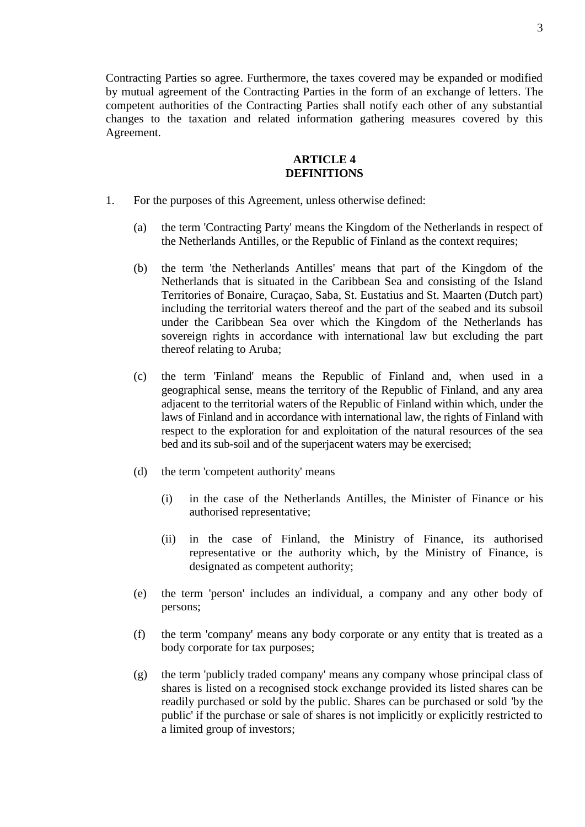Contracting Parties so agree. Furthermore, the taxes covered may be expanded or modified by mutual agreement of the Contracting Parties in the form of an exchange of letters. The competent authorities of the Contracting Parties shall notify each other of any substantial changes to the taxation and related information gathering measures covered by this Agreement.

## **ARTICLE 4 DEFINITIONS**

- 1. For the purposes of this Agreement, unless otherwise defined:
	- (a) the term 'Contracting Party' means the Kingdom of the Netherlands in respect of the Netherlands Antilles, or the Republic of Finland as the context requires;
	- (b) the term 'the Netherlands Antilles' means that part of the Kingdom of the Netherlands that is situated in the Caribbean Sea and consisting of the Island Territories of Bonaire, Curaçao, Saba, St. Eustatius and St. Maarten (Dutch part) including the territorial waters thereof and the part of the seabed and its subsoil under the Caribbean Sea over which the Kingdom of the Netherlands has sovereign rights in accordance with international law but excluding the part thereof relating to Aruba;
	- (c) the term 'Finland' means the Republic of Finland and, when used in a geographical sense, means the territory of the Republic of Finland, and any area adjacent to the territorial waters of the Republic of Finland within which, under the laws of Finland and in accordance with international law, the rights of Finland with respect to the exploration for and exploitation of the natural resources of the sea bed and its sub-soil and of the superjacent waters may be exercised;
	- (d) the term 'competent authority' means
		- (i) in the case of the Netherlands Antilles, the Minister of Finance or his authorised representative;
		- (ii) in the case of Finland, the Ministry of Finance, its authorised representative or the authority which, by the Ministry of Finance, is designated as competent authority;
	- (e) the term 'person' includes an individual, a company and any other body of persons;
	- (f) the term 'company' means any body corporate or any entity that is treated as a body corporate for tax purposes;
	- (g) the term 'publicly traded company' means any company whose principal class of shares is listed on a recognised stock exchange provided its listed shares can be readily purchased or sold by the public. Shares can be purchased or sold 'by the public' if the purchase or sale of shares is not implicitly or explicitly restricted to a limited group of investors;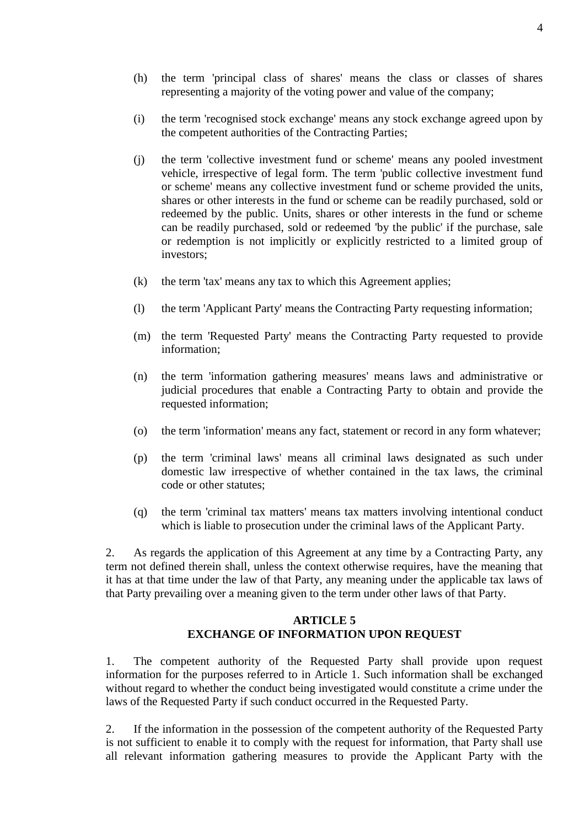- (h) the term 'principal class of shares' means the class or classes of shares representing a majority of the voting power and value of the company;
- (i) the term 'recognised stock exchange' means any stock exchange agreed upon by the competent authorities of the Contracting Parties;
- (j) the term 'collective investment fund or scheme' means any pooled investment vehicle, irrespective of legal form. The term 'public collective investment fund or scheme' means any collective investment fund or scheme provided the units, shares or other interests in the fund or scheme can be readily purchased, sold or redeemed by the public. Units, shares or other interests in the fund or scheme can be readily purchased, sold or redeemed 'by the public' if the purchase, sale or redemption is not implicitly or explicitly restricted to a limited group of investors;
- (k) the term 'tax' means any tax to which this Agreement applies;
- (l) the term 'Applicant Party' means the Contracting Party requesting information;
- (m) the term 'Requested Party' means the Contracting Party requested to provide information;
- (n) the term 'information gathering measures' means laws and administrative or judicial procedures that enable a Contracting Party to obtain and provide the requested information;
- (o) the term 'information' means any fact, statement or record in any form whatever;
- (p) the term 'criminal laws' means all criminal laws designated as such under domestic law irrespective of whether contained in the tax laws, the criminal code or other statutes;
- (q) the term 'criminal tax matters' means tax matters involving intentional conduct which is liable to prosecution under the criminal laws of the Applicant Party.

2. As regards the application of this Agreement at any time by a Contracting Party, any term not defined therein shall, unless the context otherwise requires, have the meaning that it has at that time under the law of that Party, any meaning under the applicable tax laws of that Party prevailing over a meaning given to the term under other laws of that Party.

# **ARTICLE 5 EXCHANGE OF INFORMATION UPON REQUEST**

1. The competent authority of the Requested Party shall provide upon request information for the purposes referred to in Article 1. Such information shall be exchanged without regard to whether the conduct being investigated would constitute a crime under the laws of the Requested Party if such conduct occurred in the Requested Party.

2. If the information in the possession of the competent authority of the Requested Party is not sufficient to enable it to comply with the request for information, that Party shall use all relevant information gathering measures to provide the Applicant Party with the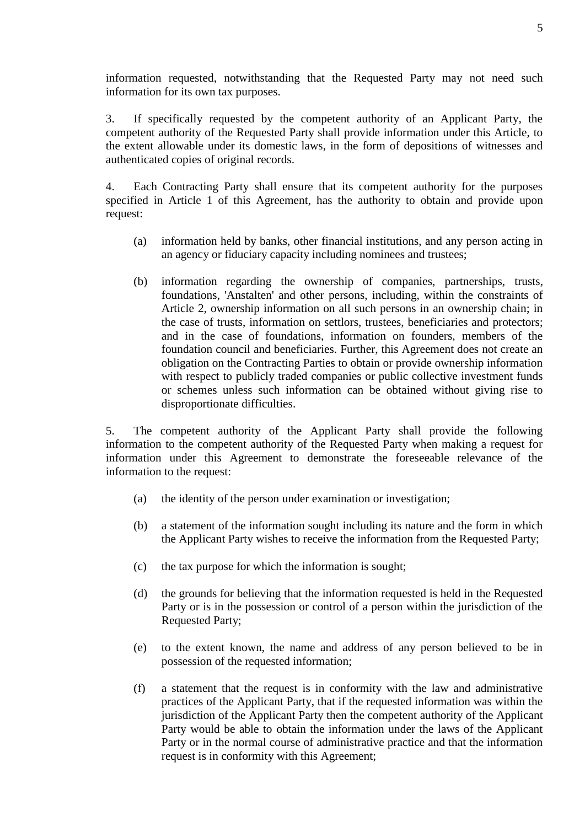information requested, notwithstanding that the Requested Party may not need such information for its own tax purposes.

3. If specifically requested by the competent authority of an Applicant Party, the competent authority of the Requested Party shall provide information under this Article, to the extent allowable under its domestic laws, in the form of depositions of witnesses and authenticated copies of original records.

4. Each Contracting Party shall ensure that its competent authority for the purposes specified in Article 1 of this Agreement, has the authority to obtain and provide upon request:

- (a) information held by banks, other financial institutions, and any person acting in an agency or fiduciary capacity including nominees and trustees;
- (b) information regarding the ownership of companies, partnerships, trusts, foundations, 'Anstalten' and other persons, including, within the constraints of Article 2, ownership information on all such persons in an ownership chain; in the case of trusts, information on settlors, trustees, beneficiaries and protectors; and in the case of foundations, information on founders, members of the foundation council and beneficiaries. Further, this Agreement does not create an obligation on the Contracting Parties to obtain or provide ownership information with respect to publicly traded companies or public collective investment funds or schemes unless such information can be obtained without giving rise to disproportionate difficulties.

5. The competent authority of the Applicant Party shall provide the following information to the competent authority of the Requested Party when making a request for information under this Agreement to demonstrate the foreseeable relevance of the information to the request:

- (a) the identity of the person under examination or investigation;
- (b) a statement of the information sought including its nature and the form in which the Applicant Party wishes to receive the information from the Requested Party;
- (c) the tax purpose for which the information is sought;
- (d) the grounds for believing that the information requested is held in the Requested Party or is in the possession or control of a person within the jurisdiction of the Requested Party;
- (e) to the extent known, the name and address of any person believed to be in possession of the requested information;
- (f) a statement that the request is in conformity with the law and administrative practices of the Applicant Party, that if the requested information was within the jurisdiction of the Applicant Party then the competent authority of the Applicant Party would be able to obtain the information under the laws of the Applicant Party or in the normal course of administrative practice and that the information request is in conformity with this Agreement;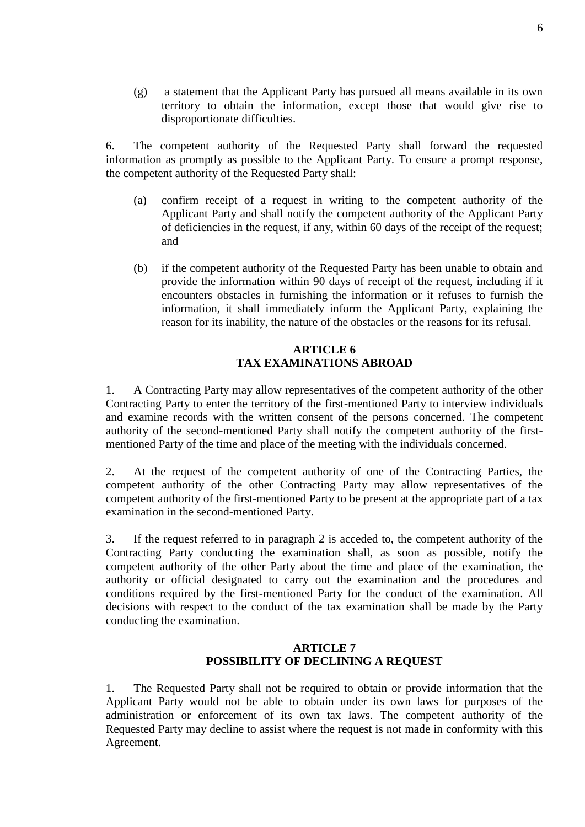(g) a statement that the Applicant Party has pursued all means available in its own territory to obtain the information, except those that would give rise to disproportionate difficulties.

6. The competent authority of the Requested Party shall forward the requested information as promptly as possible to the Applicant Party. To ensure a prompt response, the competent authority of the Requested Party shall:

- (a) confirm receipt of a request in writing to the competent authority of the Applicant Party and shall notify the competent authority of the Applicant Party of deficiencies in the request, if any, within 60 days of the receipt of the request; and
- (b) if the competent authority of the Requested Party has been unable to obtain and provide the information within 90 days of receipt of the request, including if it encounters obstacles in furnishing the information or it refuses to furnish the information, it shall immediately inform the Applicant Party, explaining the reason for its inability, the nature of the obstacles or the reasons for its refusal.

# **ARTICLE 6 TAX EXAMINATIONS ABROAD**

1. A Contracting Party may allow representatives of the competent authority of the other Contracting Party to enter the territory of the first-mentioned Party to interview individuals and examine records with the written consent of the persons concerned. The competent authority of the second-mentioned Party shall notify the competent authority of the firstmentioned Party of the time and place of the meeting with the individuals concerned.

2. At the request of the competent authority of one of the Contracting Parties, the competent authority of the other Contracting Party may allow representatives of the competent authority of the first-mentioned Party to be present at the appropriate part of a tax examination in the second-mentioned Party.

3. If the request referred to in paragraph 2 is acceded to, the competent authority of the Contracting Party conducting the examination shall, as soon as possible, notify the competent authority of the other Party about the time and place of the examination, the authority or official designated to carry out the examination and the procedures and conditions required by the first-mentioned Party for the conduct of the examination. All decisions with respect to the conduct of the tax examination shall be made by the Party conducting the examination.

# **ARTICLE 7 POSSIBILITY OF DECLINING A REQUEST**

1. The Requested Party shall not be required to obtain or provide information that the Applicant Party would not be able to obtain under its own laws for purposes of the administration or enforcement of its own tax laws. The competent authority of the Requested Party may decline to assist where the request is not made in conformity with this Agreement.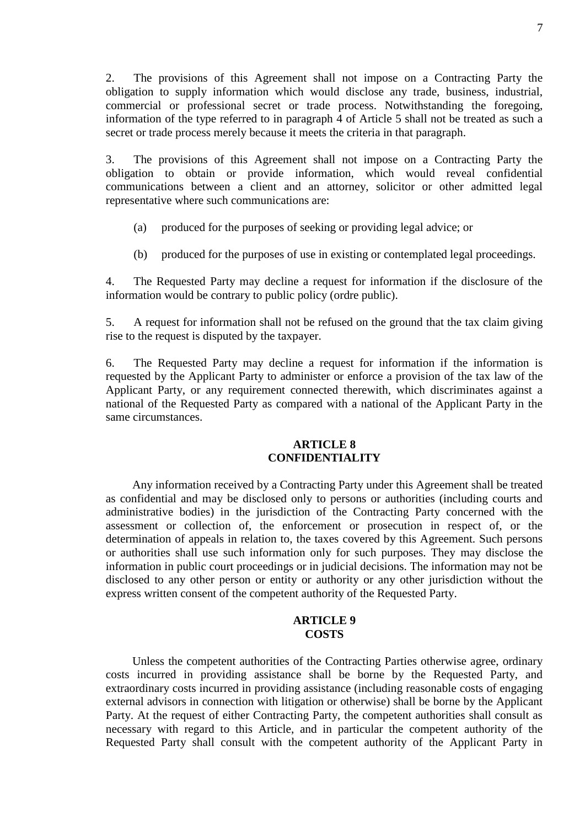2. The provisions of this Agreement shall not impose on a Contracting Party the obligation to supply information which would disclose any trade, business, industrial, commercial or professional secret or trade process. Notwithstanding the foregoing, information of the type referred to in paragraph 4 of Article 5 shall not be treated as such a secret or trade process merely because it meets the criteria in that paragraph.

3. The provisions of this Agreement shall not impose on a Contracting Party the obligation to obtain or provide information, which would reveal confidential communications between a client and an attorney, solicitor or other admitted legal representative where such communications are:

- (a) produced for the purposes of seeking or providing legal advice; or
- (b) produced for the purposes of use in existing or contemplated legal proceedings.

4. The Requested Party may decline a request for information if the disclosure of the information would be contrary to public policy (ordre public).

5. A request for information shall not be refused on the ground that the tax claim giving rise to the request is disputed by the taxpayer.

6. The Requested Party may decline a request for information if the information is requested by the Applicant Party to administer or enforce a provision of the tax law of the Applicant Party, or any requirement connected therewith, which discriminates against a national of the Requested Party as compared with a national of the Applicant Party in the same circumstances.

#### **ARTICLE 8 CONFIDENTIALITY**

Any information received by a Contracting Party under this Agreement shall be treated as confidential and may be disclosed only to persons or authorities (including courts and administrative bodies) in the jurisdiction of the Contracting Party concerned with the assessment or collection of, the enforcement or prosecution in respect of, or the determination of appeals in relation to, the taxes covered by this Agreement. Such persons or authorities shall use such information only for such purposes. They may disclose the information in public court proceedings or in judicial decisions. The information may not be disclosed to any other person or entity or authority or any other jurisdiction without the express written consent of the competent authority of the Requested Party.

## **ARTICLE 9 COSTS**

Unless the competent authorities of the Contracting Parties otherwise agree, ordinary costs incurred in providing assistance shall be borne by the Requested Party, and extraordinary costs incurred in providing assistance (including reasonable costs of engaging external advisors in connection with litigation or otherwise) shall be borne by the Applicant Party. At the request of either Contracting Party, the competent authorities shall consult as necessary with regard to this Article, and in particular the competent authority of the Requested Party shall consult with the competent authority of the Applicant Party in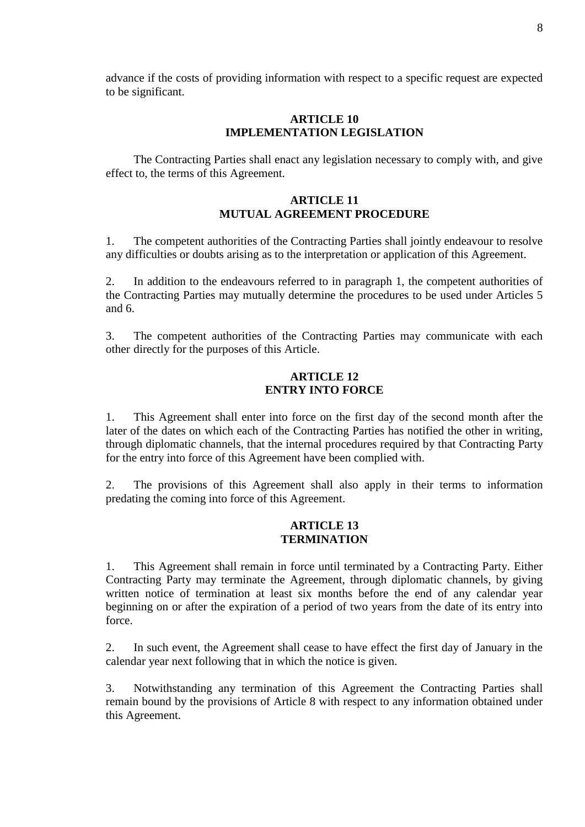advance if the costs of providing information with respect to a specific request are expected to be significant.

## **ARTICLE 10 IMPLEMENTATION LEGISLATION**

The Contracting Parties shall enact any legislation necessary to comply with, and give effect to, the terms of this Agreement.

# **ARTICLE 11 MUTUAL AGREEMENT PROCEDURE**

1. The competent authorities of the Contracting Parties shall jointly endeavour to resolve any difficulties or doubts arising as to the interpretation or application of this Agreement.

2. In addition to the endeavours referred to in paragraph 1, the competent authorities of the Contracting Parties may mutually determine the procedures to be used under Articles 5 and 6.

3. The competent authorities of the Contracting Parties may communicate with each other directly for the purposes of this Article.

#### **ARTICLE 12 ENTRY INTO FORCE**

1. This Agreement shall enter into force on the first day of the second month after the later of the dates on which each of the Contracting Parties has notified the other in writing, through diplomatic channels, that the internal procedures required by that Contracting Party for the entry into force of this Agreement have been complied with.

2. The provisions of this Agreement shall also apply in their terms to information predating the coming into force of this Agreement.

## **ARTICLE 13 TERMINATION**

1. This Agreement shall remain in force until terminated by a Contracting Party. Either Contracting Party may terminate the Agreement, through diplomatic channels, by giving written notice of termination at least six months before the end of any calendar year beginning on or after the expiration of a period of two years from the date of its entry into force.

2. In such event, the Agreement shall cease to have effect the first day of January in the calendar year next following that in which the notice is given.

3. Notwithstanding any termination of this Agreement the Contracting Parties shall remain bound by the provisions of Article 8 with respect to any information obtained under this Agreement.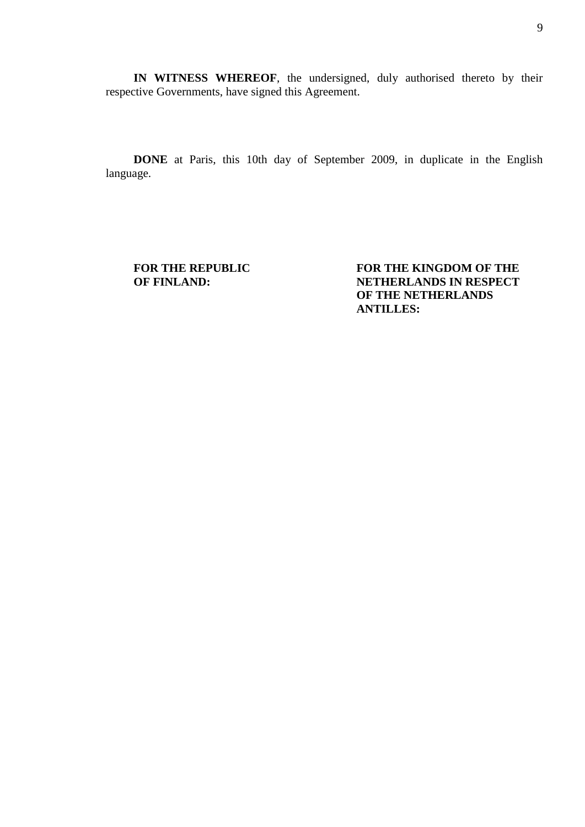**IN WITNESS WHEREOF**, the undersigned, duly authorised thereto by their respective Governments, have signed this Agreement.

**DONE** at Paris, this 10th day of September 2009, in duplicate in the English language.

**FOR THE REPUBLIC FOR THE KINGDOM OF THE OF FINLAND: NETHERLANDS IN RESPECT OF THE NETHERLANDS ANTILLES:**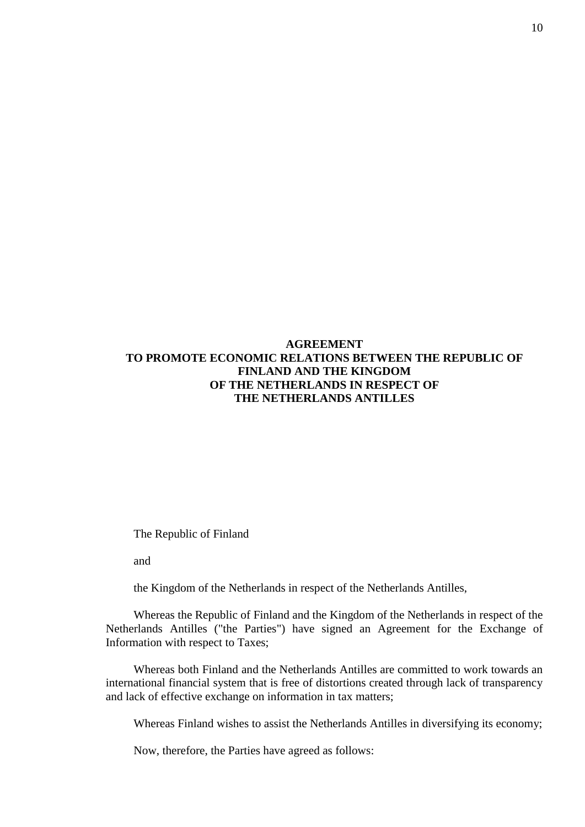## **AGREEMENT TO PROMOTE ECONOMIC RELATIONS BETWEEN THE REPUBLIC OF FINLAND AND THE KINGDOM OF THE NETHERLANDS IN RESPECT OF THE NETHERLANDS ANTILLES**

The Republic of Finland

and

the Kingdom of the Netherlands in respect of the Netherlands Antilles,

Whereas the Republic of Finland and the Kingdom of the Netherlands in respect of the Netherlands Antilles ("the Parties") have signed an Agreement for the Exchange of Information with respect to Taxes;

Whereas both Finland and the Netherlands Antilles are committed to work towards an international financial system that is free of distortions created through lack of transparency and lack of effective exchange on information in tax matters;

Whereas Finland wishes to assist the Netherlands Antilles in diversifying its economy;

Now, therefore, the Parties have agreed as follows: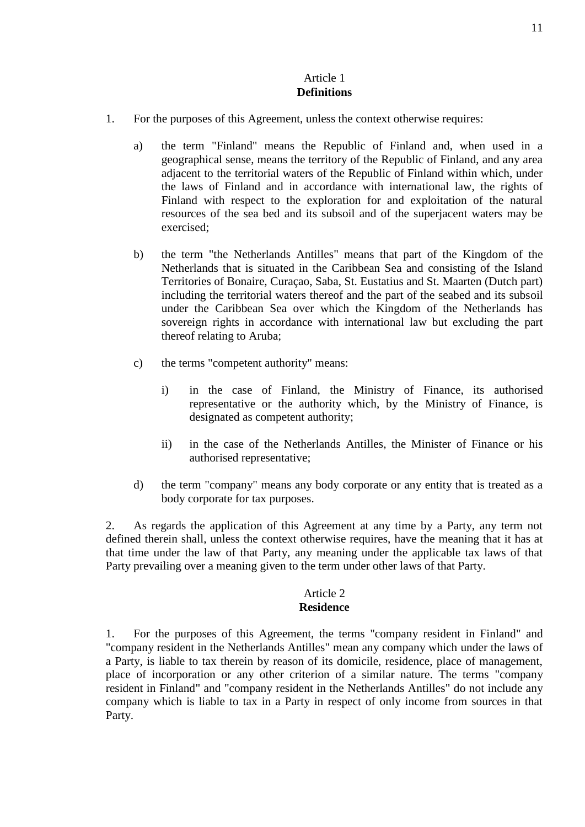# Article 1 **Definitions**

- 1. For the purposes of this Agreement, unless the context otherwise requires:
	- a) the term "Finland" means the Republic of Finland and, when used in a geographical sense, means the territory of the Republic of Finland, and any area adjacent to the territorial waters of the Republic of Finland within which, under the laws of Finland and in accordance with international law, the rights of Finland with respect to the exploration for and exploitation of the natural resources of the sea bed and its subsoil and of the superjacent waters may be exercised;
	- b) the term "the Netherlands Antilles" means that part of the Kingdom of the Netherlands that is situated in the Caribbean Sea and consisting of the Island Territories of Bonaire, Curaçao, Saba, St. Eustatius and St. Maarten (Dutch part) including the territorial waters thereof and the part of the seabed and its subsoil under the Caribbean Sea over which the Kingdom of the Netherlands has sovereign rights in accordance with international law but excluding the part thereof relating to Aruba;
	- c) the terms "competent authority" means:
		- i) in the case of Finland, the Ministry of Finance, its authorised representative or the authority which, by the Ministry of Finance, is designated as competent authority;
		- ii) in the case of the Netherlands Antilles, the Minister of Finance or his authorised representative;
	- d) the term "company" means any body corporate or any entity that is treated as a body corporate for tax purposes.

2. As regards the application of this Agreement at any time by a Party, any term not defined therein shall, unless the context otherwise requires, have the meaning that it has at that time under the law of that Party, any meaning under the applicable tax laws of that Party prevailing over a meaning given to the term under other laws of that Party.

## Article 2 **Residence**

1. For the purposes of this Agreement, the terms "company resident in Finland" and "company resident in the Netherlands Antilles" mean any company which under the laws of a Party, is liable to tax therein by reason of its domicile, residence, place of management, place of incorporation or any other criterion of a similar nature. The terms "company resident in Finland" and "company resident in the Netherlands Antilles" do not include any company which is liable to tax in a Party in respect of only income from sources in that Party.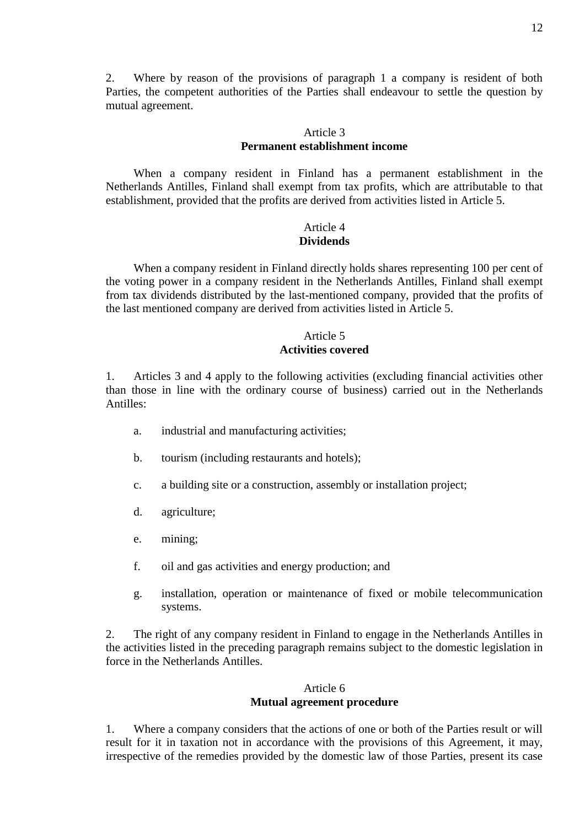2. Where by reason of the provisions of paragraph 1 a company is resident of both Parties, the competent authorities of the Parties shall endeavour to settle the question by mutual agreement.

## Article 3 **Permanent establishment income**

When a company resident in Finland has a permanent establishment in the Netherlands Antilles, Finland shall exempt from tax profits, which are attributable to that establishment, provided that the profits are derived from activities listed in Article 5.

#### Article 4 **Dividends**

When a company resident in Finland directly holds shares representing 100 per cent of the voting power in a company resident in the Netherlands Antilles, Finland shall exempt from tax dividends distributed by the last-mentioned company, provided that the profits of the last mentioned company are derived from activities listed in Article 5.

## Article 5 **Activities covered**

1. Articles 3 and 4 apply to the following activities (excluding financial activities other than those in line with the ordinary course of business) carried out in the Netherlands Antilles:

- a. industrial and manufacturing activities;
- b. tourism (including restaurants and hotels);
- c. a building site or a construction, assembly or installation project;
- d. agriculture;
- e. mining;
- f. oil and gas activities and energy production; and
- g. installation, operation or maintenance of fixed or mobile telecommunication systems.

2. The right of any company resident in Finland to engage in the Netherlands Antilles in the activities listed in the preceding paragraph remains subject to the domestic legislation in force in the Netherlands Antilles.

# Article 6 **Mutual agreement procedure**

1. Where a company considers that the actions of one or both of the Parties result or will result for it in taxation not in accordance with the provisions of this Agreement, it may, irrespective of the remedies provided by the domestic law of those Parties, present its case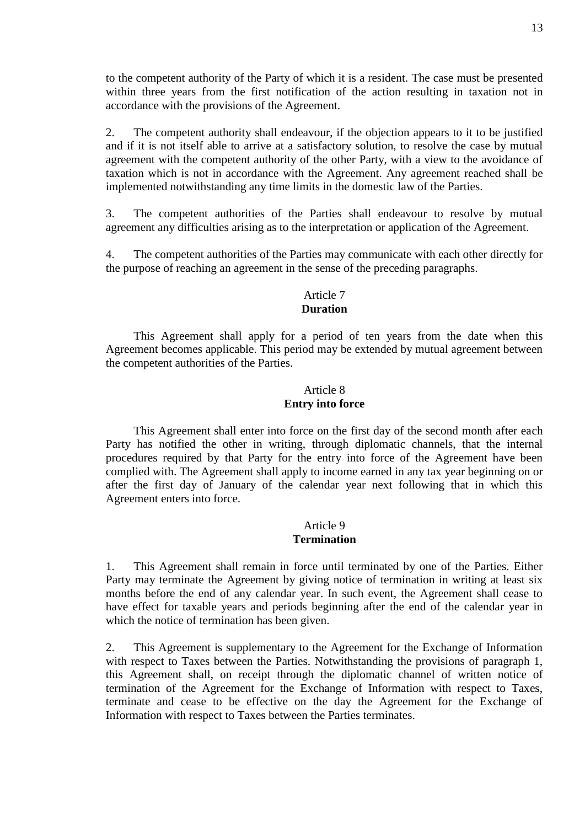to the competent authority of the Party of which it is a resident. The case must be presented within three years from the first notification of the action resulting in taxation not in accordance with the provisions of the Agreement.

2. The competent authority shall endeavour, if the objection appears to it to be justified and if it is not itself able to arrive at a satisfactory solution, to resolve the case by mutual agreement with the competent authority of the other Party, with a view to the avoidance of taxation which is not in accordance with the Agreement. Any agreement reached shall be implemented notwithstanding any time limits in the domestic law of the Parties.

3. The competent authorities of the Parties shall endeavour to resolve by mutual agreement any difficulties arising as to the interpretation or application of the Agreement.

4. The competent authorities of the Parties may communicate with each other directly for the purpose of reaching an agreement in the sense of the preceding paragraphs.

#### Article 7 **Duration**

# This Agreement shall apply for a period of ten years from the date when this Agreement becomes applicable. This period may be extended by mutual agreement between the competent authorities of the Parties.

# Article 8 **Entry into force**

This Agreement shall enter into force on the first day of the second month after each Party has notified the other in writing, through diplomatic channels, that the internal procedures required by that Party for the entry into force of the Agreement have been complied with. The Agreement shall apply to income earned in any tax year beginning on or after the first day of January of the calendar year next following that in which this Agreement enters into force.

## Article 9 **Termination**

1. This Agreement shall remain in force until terminated by one of the Parties. Either Party may terminate the Agreement by giving notice of termination in writing at least six months before the end of any calendar year. In such event, the Agreement shall cease to have effect for taxable years and periods beginning after the end of the calendar year in which the notice of termination has been given.

2. This Agreement is supplementary to the Agreement for the Exchange of Information with respect to Taxes between the Parties. Notwithstanding the provisions of paragraph 1, this Agreement shall, on receipt through the diplomatic channel of written notice of termination of the Agreement for the Exchange of Information with respect to Taxes, terminate and cease to be effective on the day the Agreement for the Exchange of Information with respect to Taxes between the Parties terminates.